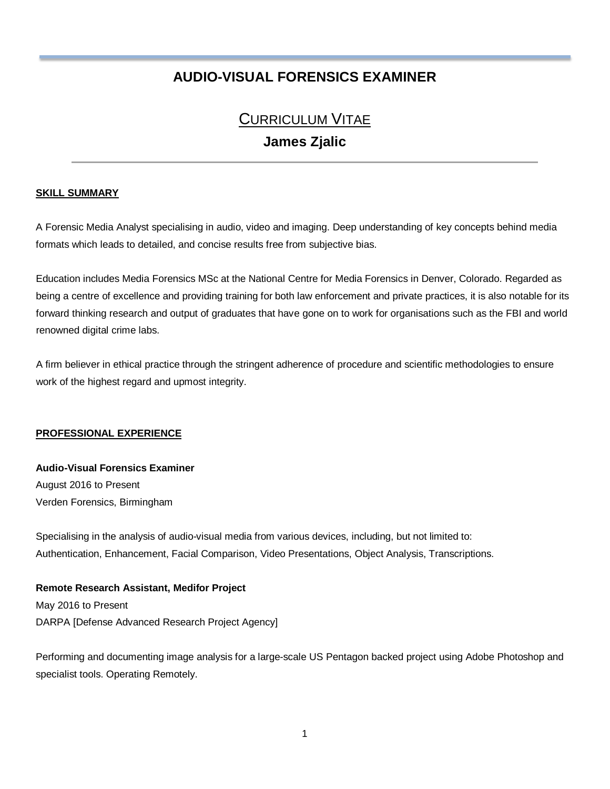# **AUDIO-VISUAL FORENSICS EXAMINER**

# CURRICULUM VITAE **James Zjalic**

#### **SKILL SUMMARY**

A Forensic Media Analyst specialising in audio, video and imaging. Deep understanding of key concepts behind media formats which leads to detailed, and concise results free from subjective bias.

Education includes Media Forensics MSc at the National Centre for Media Forensics in Denver, Colorado. Regarded as being a centre of excellence and providing training for both law enforcement and private practices, it is also notable for its forward thinking research and output of graduates that have gone on to work for organisations such as the FBI and world renowned digital crime labs.

A firm believer in ethical practice through the stringent adherence of procedure and scientific methodologies to ensure work of the highest regard and upmost integrity.

#### **PROFESSIONAL EXPERIENCE**

### **Audio-Visual Forensics Examiner** August 2016 to Present Verden Forensics, Birmingham

Specialising in the analysis of audio-visual media from various devices, including, but not limited to: Authentication, Enhancement, Facial Comparison, Video Presentations, Object Analysis, Transcriptions.

#### **Remote Research Assistant, Medifor Project**

May 2016 to Present DARPA [Defense Advanced Research Project Agency]

Performing and documenting image analysis for a large-scale US Pentagon backed project using Adobe Photoshop and specialist tools. Operating Remotely.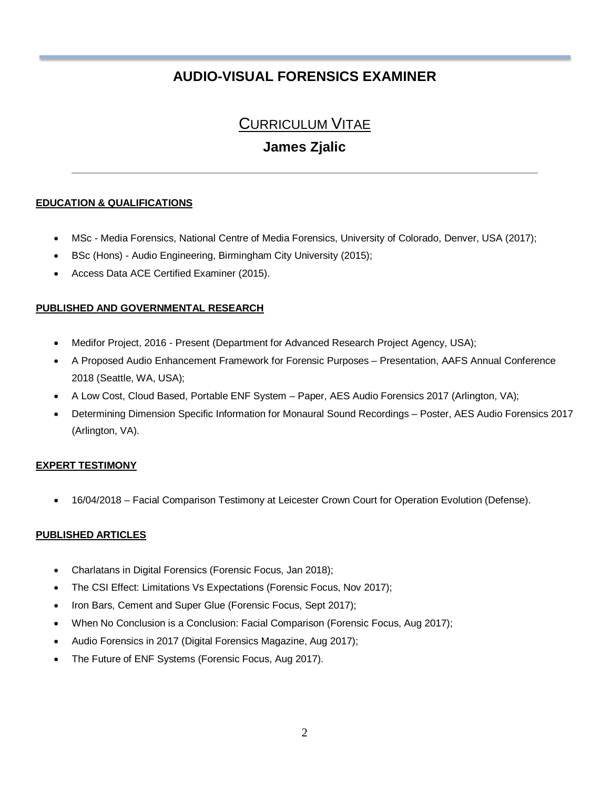# **AUDIO-VISUAL FORENSICS EXAMINER**

## CURRICULUM VITAE

### **James Zjalic**

### **EDUCATION & QUALIFICATIONS**

- MSc Media Forensics, National Centre of Media Forensics, University of Colorado, Denver, USA (2017);
- BSc (Hons) Audio Engineering, Birmingham City University (2015);
- Access Data ACE Certified Examiner (2015).

#### **PUBLISHED AND GOVERNMENTAL RESEARCH**

- Medifor Project, 2016 Present (Department for Advanced Research Project Agency, USA);
- A Proposed Audio Enhancement Framework for Forensic Purposes Presentation, AAFS Annual Conference 2018 (Seattle, WA, USA);
- A Low Cost, Cloud Based, Portable ENF System Paper, AES Audio Forensics 2017 (Arlington, VA);
- Determining Dimension Specific Information for Monaural Sound Recordings Poster, AES Audio Forensics 2017 (Arlington, VA).

### **EXPERT TESTIMONY**

• 16/04/2018 – Facial Comparison Testimony at Leicester Crown Court for Operation Evolution (Defense).

### **PUBLISHED ARTICLES**

- Charlatans in Digital Forensics (Forensic Focus, Jan 2018);
- The CSI Effect: Limitations Vs Expectations (Forensic Focus, Nov 2017);
- Iron Bars, Cement and Super Glue (Forensic Focus, Sept 2017);
- When No Conclusion is a Conclusion: Facial Comparison (Forensic Focus, Aug 2017);
- Audio Forensics in 2017 (Digital Forensics Magazine, Aug 2017);
- The Future of ENF Systems (Forensic Focus, Aug 2017).